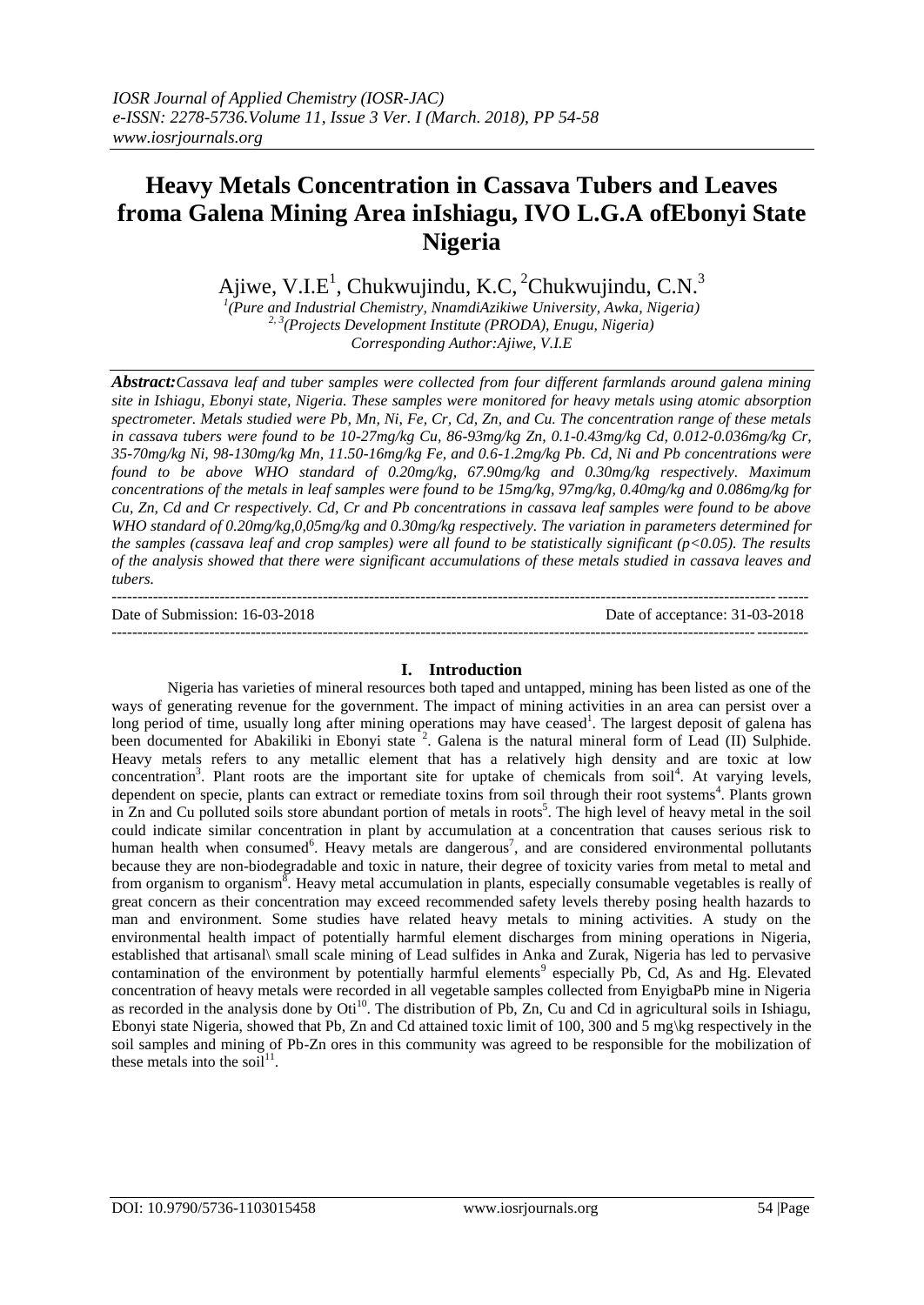# **Heavy Metals Concentration in Cassava Tubers and Leaves froma Galena Mining Area inIshiagu, IVO L.G.A ofEbonyi State Nigeria**

Ajiwe, V.I.E<sup>1</sup>, Chukwujindu, K.C, <sup>2</sup>Chukwujindu, C.N.<sup>3</sup>

*1 (Pure and Industrial Chemistry, NnamdiAzikiwe University, Awka, Nigeria) 2, 3 (Projects Development Institute (PRODA), Enugu, Nigeria) Corresponding Author:Ajiwe, V.I.E*

*Abstract:Cassava leaf and tuber samples were collected from four different farmlands around galena mining site in Ishiagu, Ebonyi state, Nigeria. These samples were monitored for heavy metals using atomic absorption spectrometer. Metals studied were Pb, Mn, Ni, Fe, Cr, Cd, Zn, and Cu. The concentration range of these metals in cassava tubers were found to be 10-27mg/kg Cu, 86-93mg/kg Zn, 0.1-0.43mg/kg Cd, 0.012-0.036mg/kg Cr, 35-70mg/kg Ni, 98-130mg/kg Mn, 11.50-16mg/kg Fe, and 0.6-1.2mg/kg Pb. Cd, Ni and Pb concentrations were found to be above WHO standard of 0.20mg/kg, 67.90mg/kg and 0.30mg/kg respectively. Maximum concentrations of the metals in leaf samples were found to be 15mg/kg, 97mg/kg, 0.40mg/kg and 0.086mg/kg for Cu, Zn, Cd and Cr respectively. Cd, Cr and Pb concentrations in cassava leaf samples were found to be above WHO standard of 0.20mg/kg,0,05mg/kg and 0.30mg/kg respectively. The variation in parameters determined for the samples (cassava leaf and crop samples) were all found to be statistically significant (p<0.05). The results of the analysis showed that there were significant accumulations of these metals studied in cassava leaves and tubers.*

| Date of Submission: 16-03-2018 | Date of acceptance: 31-03-2018 |
|--------------------------------|--------------------------------|
|                                |                                |

# **I. Introduction**

Nigeria has varieties of mineral resources both taped and untapped, mining has been listed as one of the ways of generating revenue for the government. The impact of mining activities in an area can persist over a long period of time, usually long after mining operations may have ceased<sup>1</sup>. The largest deposit of galena has been documented for Abakiliki in Ebonyi state<sup>2</sup>. Galena is the natural mineral form of Lead (II) Sulphide. Heavy metals refers to any metallic element that has a relatively high density and are toxic at low concentration<sup>3</sup>. Plant roots are the important site for uptake of chemicals from soil<sup>4</sup>. At varying levels, dependent on specie, plants can extract or remediate toxins from soil through their root systems<sup>4</sup>. Plants grown in Zn and Cu polluted soils store abundant portion of metals in roots<sup>5</sup>. The high level of heavy metal in the soil could indicate similar concentration in plant by accumulation at a concentration that causes serious risk to human health when consumed<sup>6</sup>. Heavy metals are dangerous<sup>7</sup>, and are considered environmental pollutants because they are non-biodegradable and toxic in nature, their degree of toxicity varies from metal to metal and from organism to organism $\bar{8}$ . Heavy metal accumulation in plants, especially consumable vegetables is really of great concern as their concentration may exceed recommended safety levels thereby posing health hazards to man and environment. Some studies have related heavy metals to mining activities. A study on the environmental health impact of potentially harmful element discharges from mining operations in Nigeria, established that artisanal\ small scale mining of Lead sulfides in Anka and Zurak, Nigeria has led to pervasive contamination of the environment by potentially harmful elements<sup>9</sup> especially Pb, Cd, As and Hg. Elevated concentration of heavy metals were recorded in all vegetable samples collected from EnyigbaPb mine in Nigeria as recorded in the analysis done by Oti<sup>10</sup>. The distribution of Pb, Zn, Cu and Cd in agricultural soils in Ishiagu, Ebonyi state Nigeria, showed that Pb, Zn and Cd attained toxic limit of 100, 300 and 5 mg\kg respectively in the soil samples and mining of Pb-Zn ores in this community was agreed to be responsible for the mobilization of these metals into the soil<sup>11</sup>.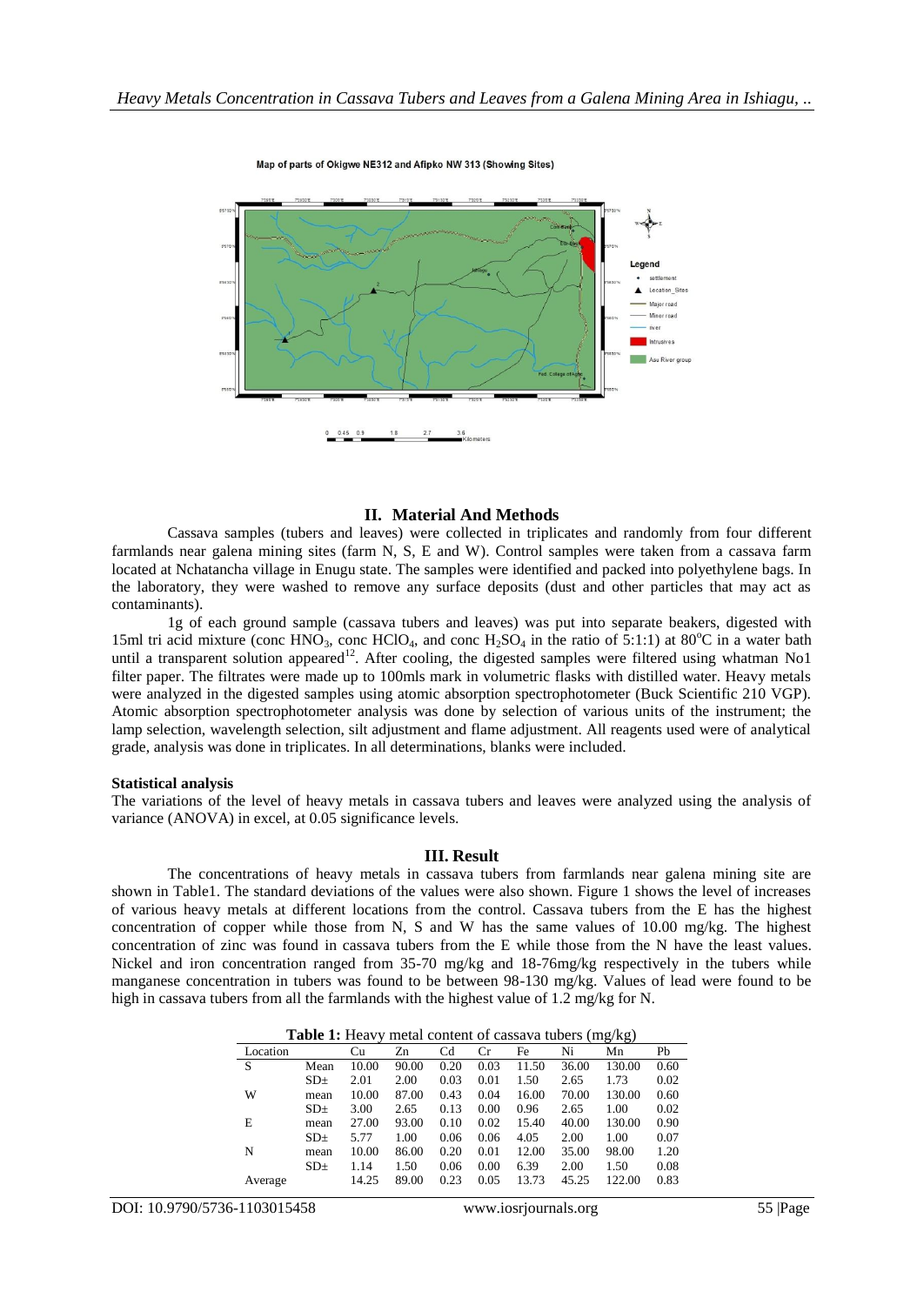

#### Map of parts of Okigwe NE312 and Afipko NW 313 (Showing Sites)

# **II. Material And Methods**

Cassava samples (tubers and leaves) were collected in triplicates and randomly from four different farmlands near galena mining sites (farm N, S, E and W). Control samples were taken from a cassava farm located at Nchatancha village in Enugu state. The samples were identified and packed into polyethylene bags. In the laboratory, they were washed to remove any surface deposits (dust and other particles that may act as contaminants).

1g of each ground sample (cassava tubers and leaves) was put into separate beakers, digested with 15ml tri acid mixture (conc HNO<sub>3</sub>, conc HClO<sub>4</sub>, and conc H<sub>2</sub>SO<sub>4</sub> in the ratio of 5:1:1) at 80<sup>o</sup>C in a water bath until a transparent solution appeared<sup>12</sup>. After cooling, the digested samples were filtered using whatman No1 filter paper. The filtrates were made up to 100mls mark in volumetric flasks with distilled water. Heavy metals were analyzed in the digested samples using atomic absorption spectrophotometer (Buck Scientific 210 VGP). Atomic absorption spectrophotometer analysis was done by selection of various units of the instrument; the lamp selection, wavelength selection, silt adjustment and flame adjustment. All reagents used were of analytical grade, analysis was done in triplicates. In all determinations, blanks were included.

#### **Statistical analysis**

The variations of the level of heavy metals in cassava tubers and leaves were analyzed using the analysis of variance (ANOVA) in excel, at 0.05 significance levels.

## **III. Result**

The concentrations of heavy metals in cassava tubers from farmlands near galena mining site are shown in Table1. The standard deviations of the values were also shown. Figure 1 shows the level of increases of various heavy metals at different locations from the control. Cassava tubers from the E has the highest concentration of copper while those from N, S and W has the same values of 10.00 mg/kg. The highest concentration of zinc was found in cassava tubers from the E while those from the N have the least values. Nickel and iron concentration ranged from 35-70 mg/kg and 18-76mg/kg respectively in the tubers while manganese concentration in tubers was found to be between 98-130 mg/kg. Values of lead were found to be high in cassava tubers from all the farmlands with the highest value of 1.2 mg/kg for N.

| <b>Table 1:</b> Heavy metal content of cassava tubers (mg/kg) |                 |       |       |      |      |       |       |        |      |
|---------------------------------------------------------------|-----------------|-------|-------|------|------|-------|-------|--------|------|
| Location                                                      |                 | Сu    | Zn    | Cd   | Cr   | Fe    | Ni    | Mn     | Pb   |
| S                                                             | Mean            | 10.00 | 90.00 | 0.20 | 0.03 | 11.50 | 36.00 | 130.00 | 0.60 |
|                                                               | SD <sub>±</sub> | 2.01  | 2.00  | 0.03 | 0.01 | 1.50  | 2.65  | 1.73   | 0.02 |
| W                                                             | mean            | 10.00 | 87.00 | 0.43 | 0.04 | 16.00 | 70.00 | 130.00 | 0.60 |
|                                                               | SD <sub>±</sub> | 3.00  | 2.65  | 0.13 | 0.00 | 0.96  | 2.65  | 1.00   | 0.02 |
| E                                                             | mean            | 27.00 | 93.00 | 0.10 | 0.02 | 15.40 | 40.00 | 130.00 | 0.90 |
|                                                               | SD <sub>±</sub> | 5.77  | 1.00  | 0.06 | 0.06 | 4.05  | 2.00  | 1.00   | 0.07 |
| N                                                             | mean            | 10.00 | 86.00 | 0.20 | 0.01 | 12.00 | 35.00 | 98.00  | 1.20 |
|                                                               | SD <sub>±</sub> | 1.14  | 1.50  | 0.06 | 0.00 | 6.39  | 2.00  | 1.50   | 0.08 |
| Average                                                       |                 | 14.25 | 89.00 | 0.23 | 0.05 | 13.73 | 45.25 | 122.00 | 0.83 |
|                                                               |                 |       |       |      |      |       |       |        |      |

| <b>Table 1:</b> Heavy metal content of cassava tubers (mg/kg) |  |
|---------------------------------------------------------------|--|
|---------------------------------------------------------------|--|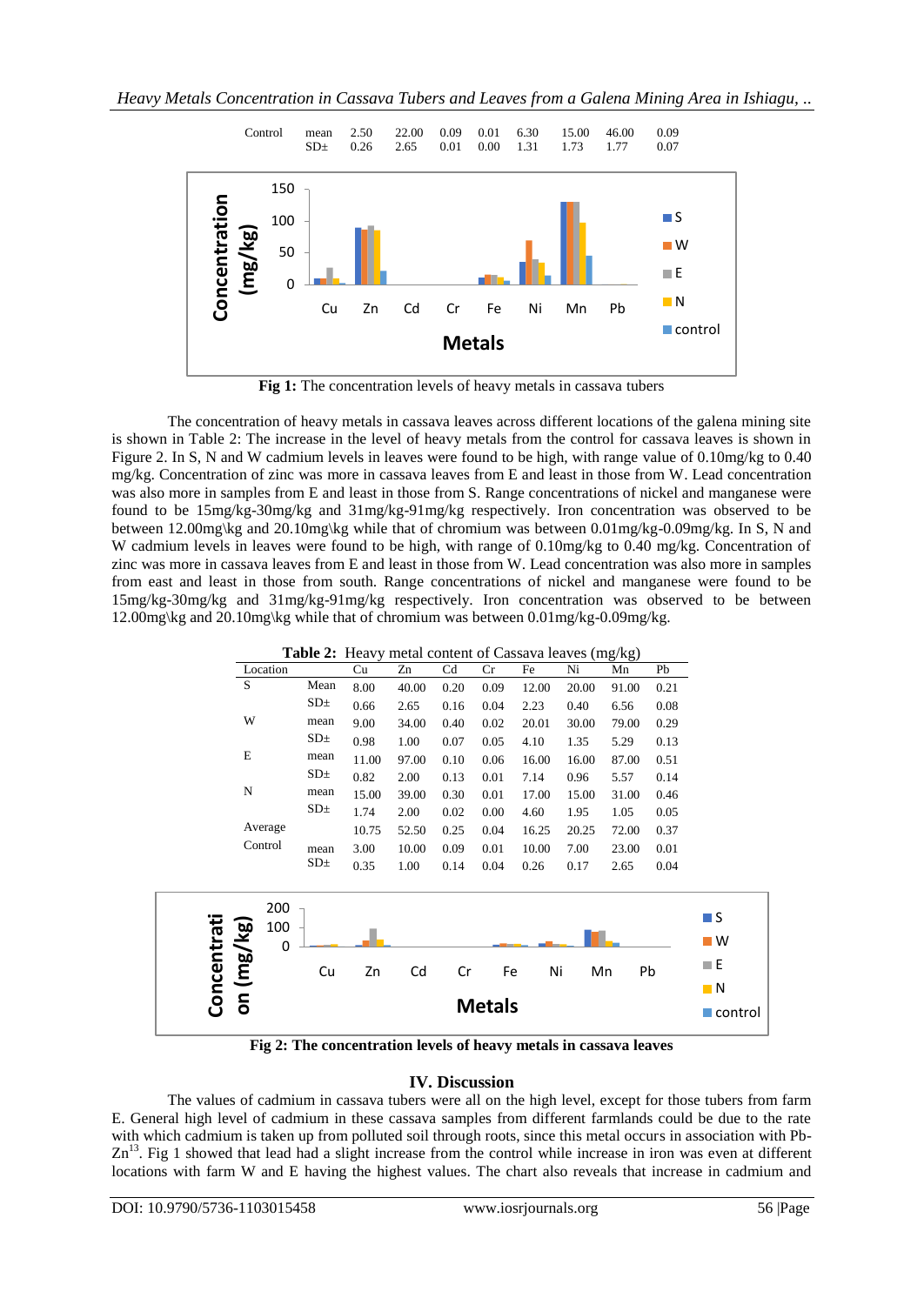*Heavy Metals Concentration in Cassava Tubers and Leaves from a Galena Mining Area in Ishiagu, ..*



Fig 1: The concentration levels of heavy metals in cassava tubers

The concentration of heavy metals in cassava leaves across different locations of the galena mining site is shown in Table 2: The increase in the level of heavy metals from the control for cassava leaves is shown in Figure 2. In S, N and W cadmium levels in leaves were found to be high, with range value of 0.10mg/kg to 0.40 mg/kg. Concentration of zinc was more in cassava leaves from E and least in those from W. Lead concentration was also more in samples from E and least in those from S. Range concentrations of nickel and manganese were found to be 15mg/kg-30mg/kg and 31mg/kg-91mg/kg respectively. Iron concentration was observed to be between 12.00mg\kg and 20.10mg\kg while that of chromium was between 0.01mg/kg-0.09mg/kg. In S, N and W cadmium levels in leaves were found to be high, with range of 0.10mg/kg to 0.40 mg/kg. Concentration of zinc was more in cassava leaves from E and least in those from W. Lead concentration was also more in samples from east and least in those from south. Range concentrations of nickel and manganese were found to be 15mg/kg-30mg/kg and 31mg/kg-91mg/kg respectively. Iron concentration was observed to be between 12.00mg\kg and 20.10mg\kg while that of chromium was between 0.01mg/kg-0.09mg/kg.

**Fig 2: The concentration levels of heavy metals in cassava leaves**

# **IV. Discussion**

The values of cadmium in cassava tubers were all on the high level, except for those tubers from farm E. General high level of cadmium in these cassava samples from different farmlands could be due to the rate with which cadmium is taken up from polluted soil through roots, since this metal occurs in association with Pb- $Zn<sup>13</sup>$ . Fig 1 showed that lead had a slight increase from the control while increase in iron was even at different locations with farm W and E having the highest values. The chart also reveals that increase in cadmium and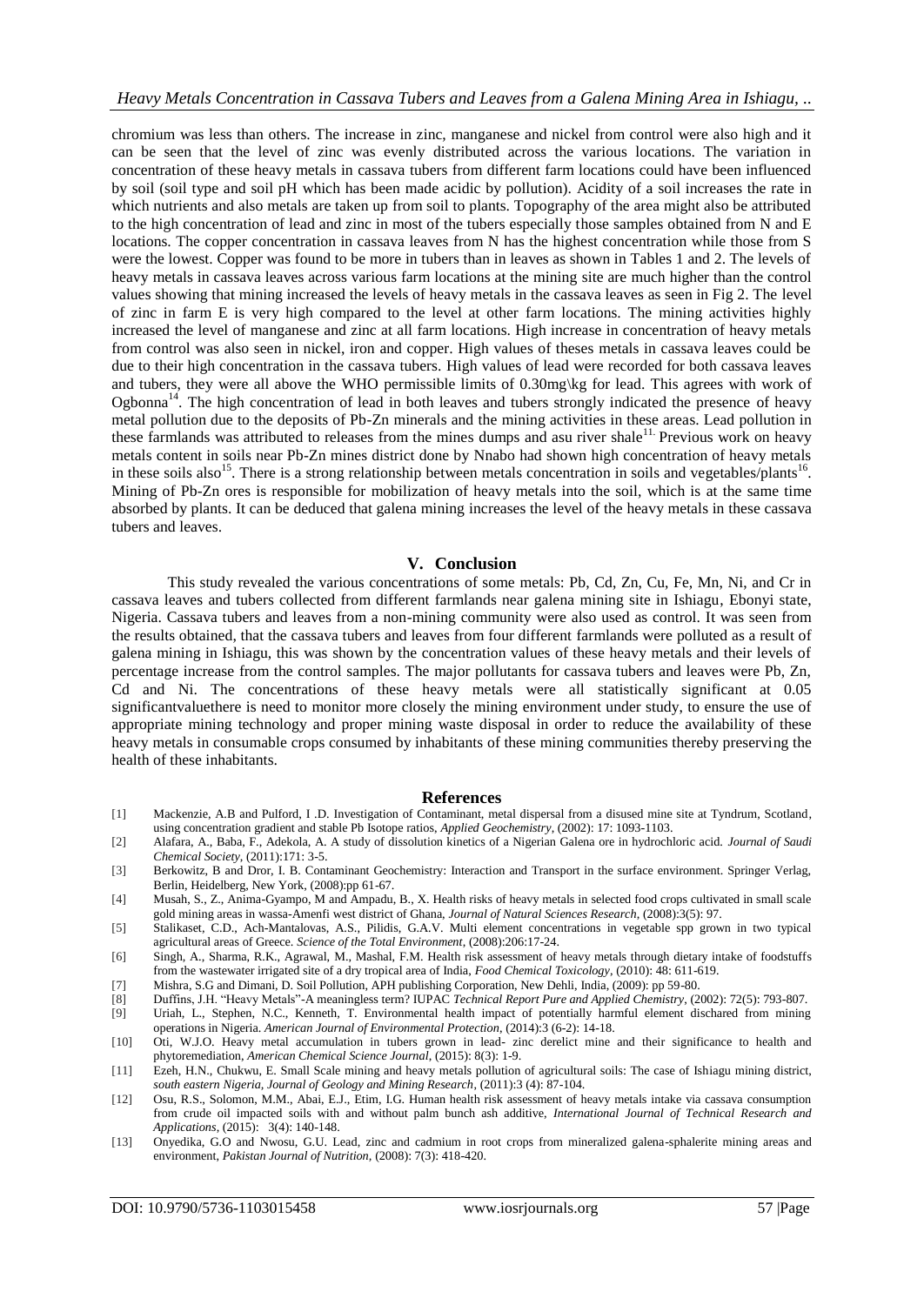chromium was less than others. The increase in zinc, manganese and nickel from control were also high and it can be seen that the level of zinc was evenly distributed across the various locations. The variation in concentration of these heavy metals in cassava tubers from different farm locations could have been influenced by soil (soil type and soil pH which has been made acidic by pollution). Acidity of a soil increases the rate in which nutrients and also metals are taken up from soil to plants. Topography of the area might also be attributed to the high concentration of lead and zinc in most of the tubers especially those samples obtained from N and E locations. The copper concentration in cassava leaves from N has the highest concentration while those from S were the lowest. Copper was found to be more in tubers than in leaves as shown in Tables 1 and 2. The levels of heavy metals in cassava leaves across various farm locations at the mining site are much higher than the control values showing that mining increased the levels of heavy metals in the cassava leaves as seen in Fig 2. The level of zinc in farm E is very high compared to the level at other farm locations. The mining activities highly increased the level of manganese and zinc at all farm locations. High increase in concentration of heavy metals from control was also seen in nickel, iron and copper. High values of theses metals in cassava leaves could be due to their high concentration in the cassava tubers. High values of lead were recorded for both cassava leaves and tubers, they were all above the WHO permissible limits of 0.30mg\kg for lead. This agrees with work of Ogbonna<sup>14</sup>. The high concentration of lead in both leaves and tubers strongly indicated the presence of heavy metal pollution due to the deposits of Pb-Zn minerals and the mining activities in these areas. Lead pollution in these farmlands was attributed to releases from the mines dumps and asu river shale<sup>11.</sup> Previous work on heavy metals content in soils near Pb-Zn mines district done by Nnabo had shown high concentration of heavy metals in these soils also<sup>15</sup>. There is a strong relationship between metals concentration in soils and vegetables/plants<sup>16</sup>. Mining of Pb-Zn ores is responsible for mobilization of heavy metals into the soil, which is at the same time absorbed by plants. It can be deduced that galena mining increases the level of the heavy metals in these cassava tubers and leaves.

# **V. Conclusion**

This study revealed the various concentrations of some metals: Pb, Cd, Zn, Cu, Fe, Mn, Ni, and Cr in cassava leaves and tubers collected from different farmlands near galena mining site in Ishiagu, Ebonyi state, Nigeria. Cassava tubers and leaves from a non-mining community were also used as control. It was seen from the results obtained, that the cassava tubers and leaves from four different farmlands were polluted as a result of galena mining in Ishiagu, this was shown by the concentration values of these heavy metals and their levels of percentage increase from the control samples. The major pollutants for cassava tubers and leaves were Pb, Zn, Cd and Ni. The concentrations of these heavy metals were all statistically significant at 0.05 significantvaluethere is need to monitor more closely the mining environment under study, to ensure the use of appropriate mining technology and proper mining waste disposal in order to reduce the availability of these heavy metals in consumable crops consumed by inhabitants of these mining communities thereby preserving the health of these inhabitants.

### **References**

- [1] Mackenzie, A.B and Pulford, I .D. Investigation of Contaminant, metal dispersal from a disused mine site at Tyndrum, Scotland, using concentration gradient and stable Pb Isotope ratios, *Applied Geochemistry*, (2002): 17: 1093-1103.
- [2] Alafara, A., Baba, F., Adekola, A. A study of dissolution kinetics of a Nigerian Galena ore in hydrochloric acid. *Journal of Saudi Chemical Society*, (2011):171: 3-5.
- [3] Berkowitz, B and Dror, I. B. Contaminant Geochemistry: Interaction and Transport in the surface environment. Springer Verlag, Berlin, Heidelberg, New York, (2008):pp 61-67.
- [4] Musah, S., Z., Anima-Gyampo, M and Ampadu, B., X. Health risks of heavy metals in selected food crops cultivated in small scale gold mining areas in wassa-Amenfi west district of Ghana, *Journal of Natural Sciences Research*, (2008):3(5): 97.
- [5] Stalikaset, C.D., Ach-Mantalovas, A.S., Pilidis, G.A.V. Multi element concentrations in vegetable spp grown in two typical agricultural areas of Greece. *Science of the Total Environment*, (2008):206:17-24.
- [6] Singh, A., Sharma, R.K., Agrawal, M., Mashal, F.M. Health risk assessment of heavy metals through dietary intake of foodstuffs from the wastewater irrigated site of a dry tropical area of India, *Food Chemical Toxicology*, (2010): 48: 611-619.
- [7] Mishra, S.G and Dimani, D. Soil Pollution, APH publishing Corporation, New Dehli, India, (2009): pp 59-80.
- [8] Duffins, J.H. "Heavy Metals"-A meaningless term? IUPAC *Technical Report Pure and Applied Chemistry*, (2002): 72(5): 793-807.
- [9] Uriah, L., Stephen, N.C., Kenneth, T. Environmental health impact of potentially harmful element dischared from mining operations in Nigeria. *American Journal of Environmental Protection*, (2014):3 (6-2): 14-18.
- [10] Oti, W.J.O. Heavy metal accumulation in tubers grown in lead- zinc derelict mine and their significance to health and phytoremediation, *American Chemical Science Journal*, (2015): 8(3): 1-9.
- [11] Ezeh, H.N., Chukwu, E. Small Scale mining and heavy metals pollution of agricultural soils: The case of Ishiagu mining district, *south eastern Nigeria, Journal of Geology and Mining Research*, (2011):3 (4): 87-104.
- [12] Osu, R.S., Solomon, M.M., Abai, E.J., Etim, I.G. Human health risk assessment of heavy metals intake via cassava consumption from crude oil impacted soils with and without palm bunch ash additive, *International Journal of Technical Research and Applications*, (2015): 3(4): 140-148.
- [13] Onyedika, G.O and Nwosu, G.U. Lead, zinc and cadmium in root crops from mineralized galena-sphalerite mining areas and environment, *Pakistan Journal of Nutrition,* (2008): 7(3): 418-420.